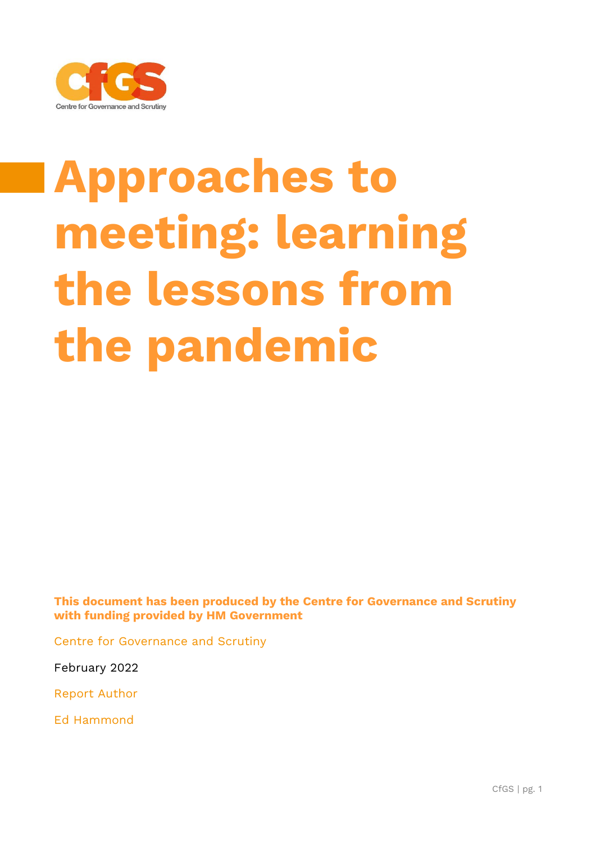

# **Approaches to meeting: learning the lessons from the pandemic**

**This document has been produced by the Centre for Governance and Scrutiny with funding provided by HM Government**

Centre for Governance and Scrutiny

February 2022

Report Author

Ed Hammond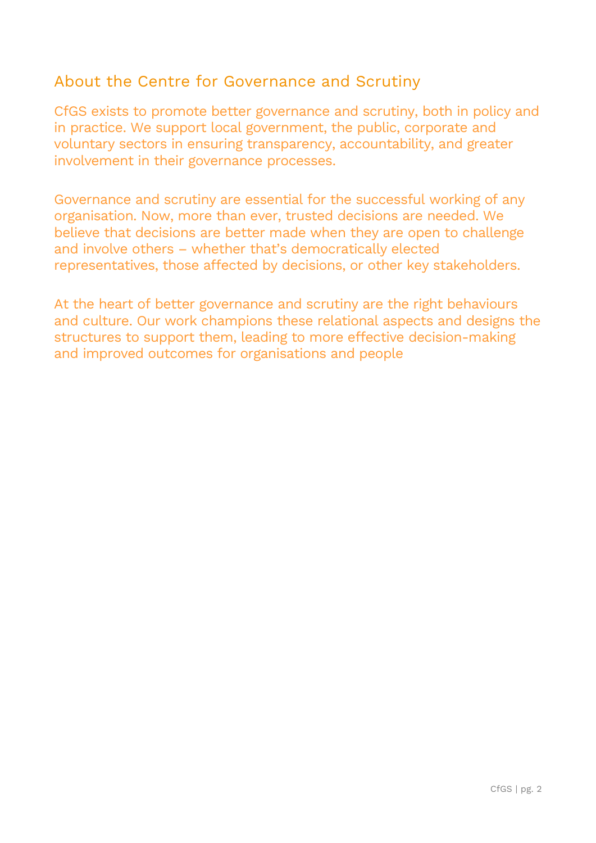#### About the Centre for Governance and Scrutiny

CfGS exists to promote better governance and scrutiny, both in policy and in practice. We support local government, the public, corporate and voluntary sectors in ensuring transparency, accountability, and greater involvement in their governance processes.

Governance and scrutiny are essential for the successful working of any organisation. Now, more than ever, trusted decisions are needed. We believe that decisions are better made when they are open to challenge and involve others – whether that's democratically elected representatives, those affected by decisions, or other key stakeholders.

At the heart of better governance and scrutiny are the right behaviours and culture. Our work champions these relational aspects and designs the structures to support them, leading to more effective decision-making and improved outcomes for organisations and people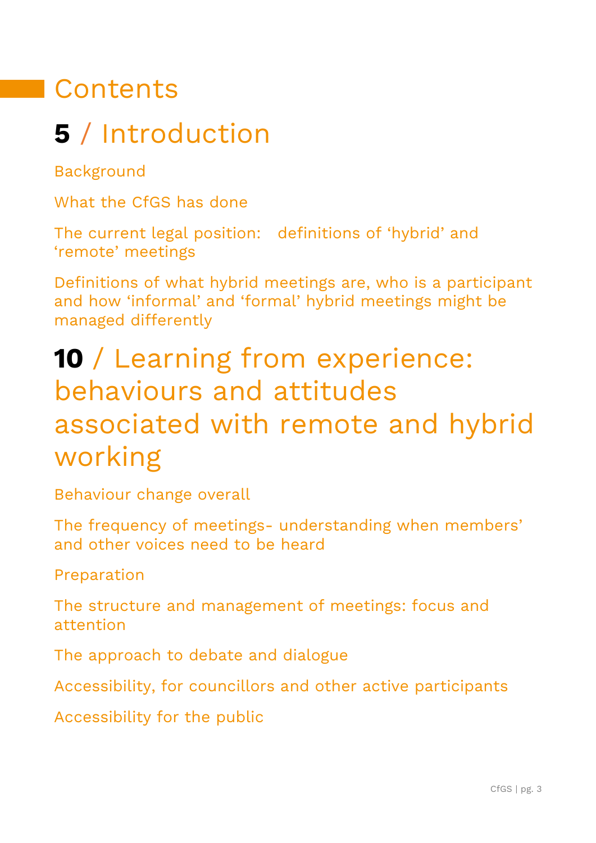# **Contents**

# **5** / Introduction

Background

What the CfGS has done

The current legal position: definitions of 'hybrid' and 'remote' meetings

Definitions of what hybrid meetings are, who is a participant and how 'informal' and 'formal' hybrid meetings might be managed differently

# **10** / Learning from experience: behaviours and attitudes associated with remote and hybrid working

Behaviour change overall

The frequency of meetings- understanding when members' and other voices need to be heard

Preparation

The structure and management of meetings: focus and attention

The approach to debate and dialogue

Accessibility, for councillors and other active participants

Accessibility for the public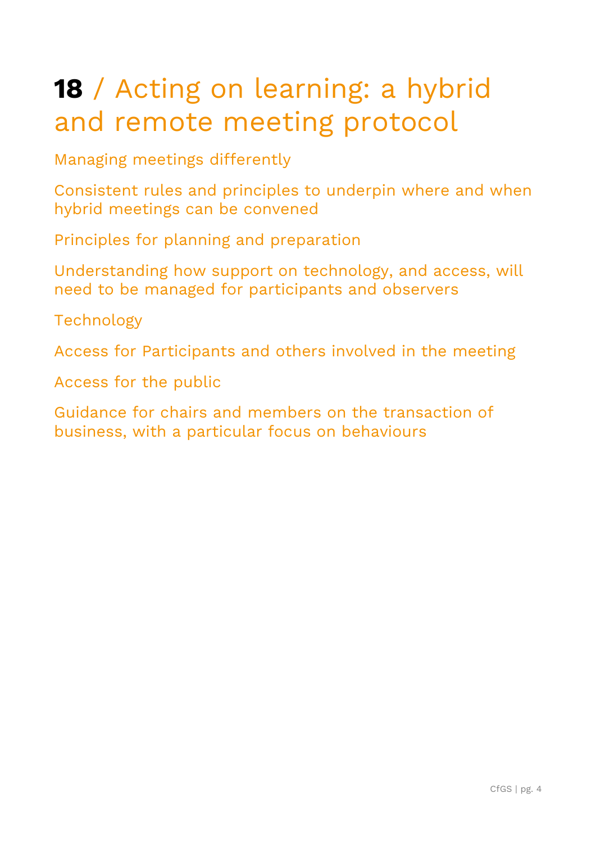# **18** / Acting on learning: a hybrid and remote meeting protocol

Managing meetings differently

Consistent rules and principles to underpin where and when hybrid meetings can be convened

Principles for planning and preparation

Understanding how support on technology, and access, will need to be managed for participants and observers

Technology

Access for Participants and others involved in the meeting

Access for the public

Guidance for chairs and members on the transaction of business, with a particular focus on behaviours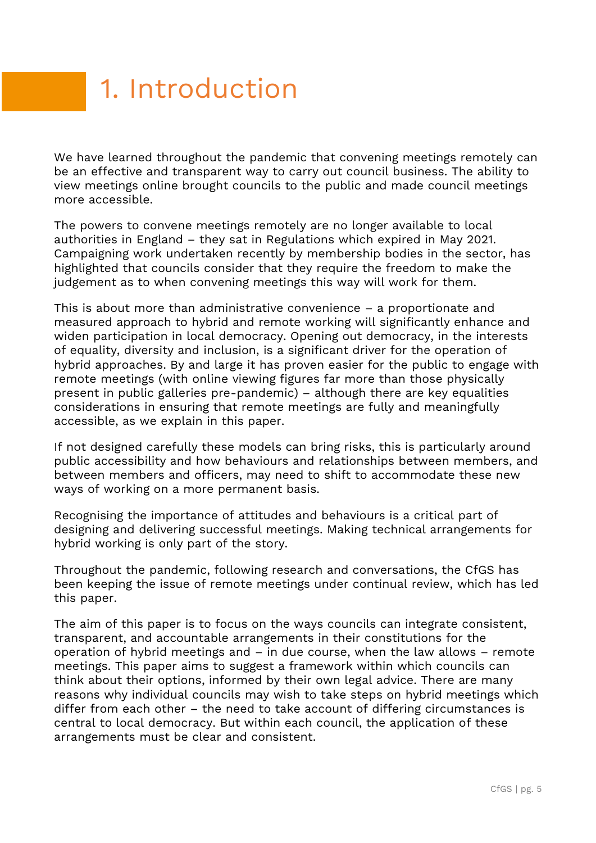# 1. Introduction

We have learned throughout the pandemic that convening meetings remotely can be an effective and transparent way to carry out council business. The ability to view meetings online brought councils to the public and made council meetings more accessible.

The powers to convene meetings remotely are no longer available to local authorities in England – they sat in Regulations which expired in May 2021. Campaigning work undertaken recently by membership bodies in the sector, has highlighted that councils consider that they require the freedom to make the judgement as to when convening meetings this way will work for them.

This is about more than administrative convenience – a proportionate and measured approach to hybrid and remote working will significantly enhance and widen participation in local democracy. Opening out democracy, in the interests of equality, diversity and inclusion, is a significant driver for the operation of hybrid approaches. By and large it has proven easier for the public to engage with remote meetings (with online viewing figures far more than those physically present in public galleries pre-pandemic) – although there are key equalities considerations in ensuring that remote meetings are fully and meaningfully accessible, as we explain in this paper.

If not designed carefully these models can bring risks, this is particularly around public accessibility and how behaviours and relationships between members, and between members and officers, may need to shift to accommodate these new ways of working on a more permanent basis.

Recognising the importance of attitudes and behaviours is a critical part of designing and delivering successful meetings. Making technical arrangements for hybrid working is only part of the story.

Throughout the pandemic, following research and conversations, the CfGS has been keeping the issue of remote meetings under continual review, which has led this paper.

The aim of this paper is to focus on the ways councils can integrate consistent, transparent, and accountable arrangements in their constitutions for the operation of hybrid meetings and – in due course, when the law allows – remote meetings. This paper aims to suggest a framework within which councils can think about their options, informed by their own legal advice. There are many reasons why individual councils may wish to take steps on hybrid meetings which differ from each other – the need to take account of differing circumstances is central to local democracy. But within each council, the application of these arrangements must be clear and consistent.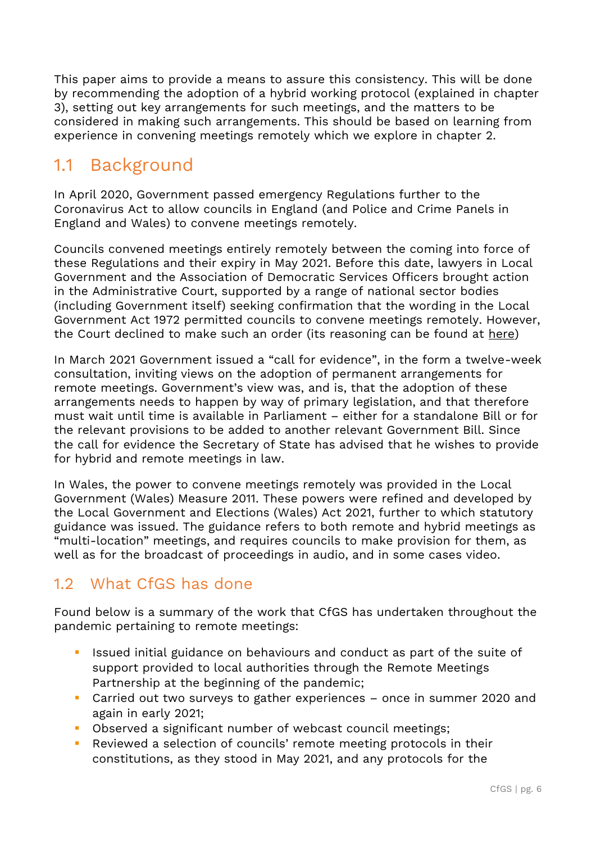This paper aims to provide a means to assure this consistency. This will be done by recommending the adoption of a hybrid working protocol (explained in chapter 3), setting out key arrangements for such meetings, and the matters to be considered in making such arrangements. This should be based on learning from experience in convening meetings remotely which we explore in chapter 2.

### 1.1 Background

In April 2020, Government passed emergency Regulations further to the Coronavirus Act to allow councils in England (and Police and Crime Panels in England and Wales) to convene meetings remotely.

Councils convened meetings entirely remotely between the coming into force of these Regulations and their expiry in May 2021. Before this date, lawyers in Local Government and the Association of Democratic Services Officers brought action in the Administrative Court, supported by a range of national sector bodies (including Government itself) seeking confirmation that the wording in the Local Government Act 1972 permitted councils to convene meetings remotely. However, the Court declined to make such an order (its reasoning can be found at [here\)](https://assets.publishing.service.gov.uk/government/uploads/system/uploads/attachment_data/file/982476/210429_Letter_to_council_leaders_-_remote_meetings_judgment.pdf)

In March 2021 Government issued a "call for evidence", in the form a twelve-week consultation, inviting views on the adoption of permanent arrangements for remote meetings. Government's view was, and is, that the adoption of these arrangements needs to happen by way of primary legislation, and that therefore must wait until time is available in Parliament – either for a standalone Bill or for the relevant provisions to be added to another relevant Government Bill. Since the call for evidence the Secretary of State has advised that he wishes to provide for hybrid and remote meetings in law.

In Wales, the power to convene meetings remotely was provided in the Local Government (Wales) Measure 2011. These powers were refined and developed by the Local Government and Elections (Wales) Act 2021, further to which statutory guidance was issued. The guidance refers to both remote and hybrid meetings as "multi-location" meetings, and requires councils to make provision for them, as well as for the broadcast of proceedings in audio, and in some cases video.

#### 1.2 What CfGS has done

Found below is a summary of the work that CfGS has undertaken throughout the pandemic pertaining to remote meetings:

- Issued initial guidance on behaviours and conduct as part of the suite of support provided to local authorities through the Remote Meetings Partnership at the beginning of the pandemic;
- Carried out two surveys to gather experiences once in summer 2020 and again in early 2021;
- Observed a significant number of webcast council meetings;
- Reviewed a selection of councils' remote meeting protocols in their constitutions, as they stood in May 2021, and any protocols for the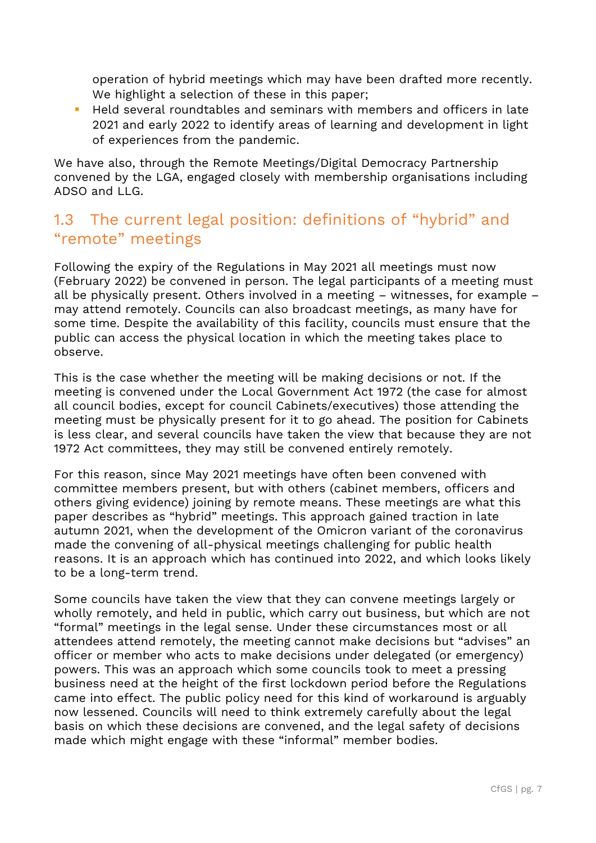operation of hybrid meetings which may have been drafted more recently. We highlight a selection of these in this paper;

Held several roundtables and seminars with members and officers in late 2021 and early 2022 to identify areas of learning and development in light of experiences from the pandemic.

We have also, through the Remote Meetings/Digital Democracy Partnership convened by the LGA, engaged closely with membership organisations including ADSO and LLG.

#### 1.3 The current legal position: definitions of "hybrid" and "remote" meetings

Following the expiry of the Regulations in May 2021 all meetings must now (February 2022) be convened in person. The legal participants of a meeting must all be physically present. Others involved in a meeting – witnesses, for example – may attend remotely. Councils can also broadcast meetings, as many have for some time. Despite the availability of this facility, councils must ensure that the public can access the physical location in which the meeting takes place to observe.

This is the case whether the meeting will be making decisions or not. If the meeting is convened under the Local Government Act 1972 (the case for almost all council bodies, except for council Cabinets/executives) those attending the meeting must be physically present for it to go ahead. The position for Cabinets is less clear, and several councils have taken the view that because they are not 1972 Act committees, they may still be convened entirely remotely.

For this reason, since May 2021 meetings have often been convened with committee members present, but with others (cabinet members, officers and others giving evidence) joining by remote means. These meetings are what this paper describes as "hybrid" meetings. This approach gained traction in late autumn 2021, when the development of the Omicron variant of the coronavirus made the convening of all-physical meetings challenging for public health reasons. It is an approach which has continued into 2022, and which looks likely to be a long-term trend.

Some councils have taken the view that they can convene meetings largely or wholly remotely, and held in public, which carry out business, but which are not "formal" meetings in the legal sense. Under these circumstances most or all attendees attend remotely, the meeting cannot make decisions but "advises" an officer or member who acts to make decisions under delegated (or emergency) powers. This was an approach which some councils took to meet a pressing business need at the height of the first lockdown period before the Regulations came into effect. The public policy need for this kind of workaround is arguably now lessened. Councils will need to think extremely carefully about the legal basis on which these decisions are convened, and the legal safety of decisions made which might engage with these "informal" member bodies.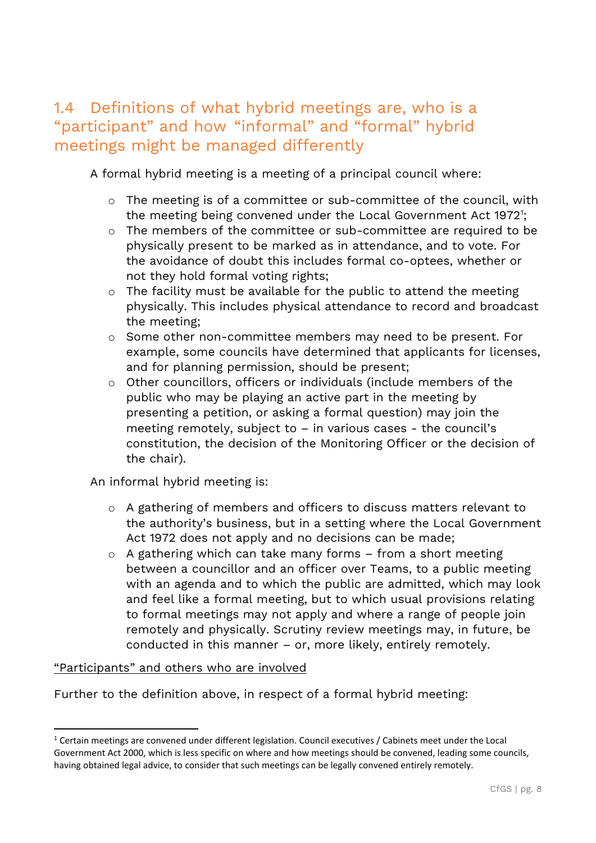#### 1.4 Definitions of what hybrid meetings are, who is a "participant" and how "informal" and "formal" hybrid meetings might be managed differently

A formal hybrid meeting is a meeting of a principal council where:

- o The meeting is of a committee or sub-committee of the council, with the meeting being convened under the Local Government Act 1972<sup>1</sup>;
- o The members of the committee or sub-committee are required to be physically present to be marked as in attendance, and to vote. For the avoidance of doubt this includes formal co-optees, whether or not they hold formal voting rights;
- o The facility must be available for the public to attend the meeting physically. This includes physical attendance to record and broadcast the meeting;
- o Some other non-committee members may need to be present. For example, some councils have determined that applicants for licenses, and for planning permission, should be present;
- o Other councillors, officers or individuals (include members of the public who may be playing an active part in the meeting by presenting a petition, or asking a formal question) may join the meeting remotely, subject to – in various cases - the council's constitution, the decision of the Monitoring Officer or the decision of the chair).

An informal hybrid meeting is:

- o A gathering of members and officers to discuss matters relevant to the authority's business, but in a setting where the Local Government Act 1972 does not apply and no decisions can be made;
- o A gathering which can take many forms from a short meeting between a councillor and an officer over Teams, to a public meeting with an agenda and to which the public are admitted, which may look and feel like a formal meeting, but to which usual provisions relating to formal meetings may not apply and where a range of people join remotely and physically. Scrutiny review meetings may, in future, be conducted in this manner – or, more likely, entirely remotely.

#### "Participants" and others who are involved

Further to the definition above, in respect of a formal hybrid meeting:

 $1$  Certain meetings are convened under different legislation. Council executives / Cabinets meet under the Local Government Act 2000, which is less specific on where and how meetings should be convened, leading some councils, having obtained legal advice, to consider that such meetings can be legally convened entirely remotely.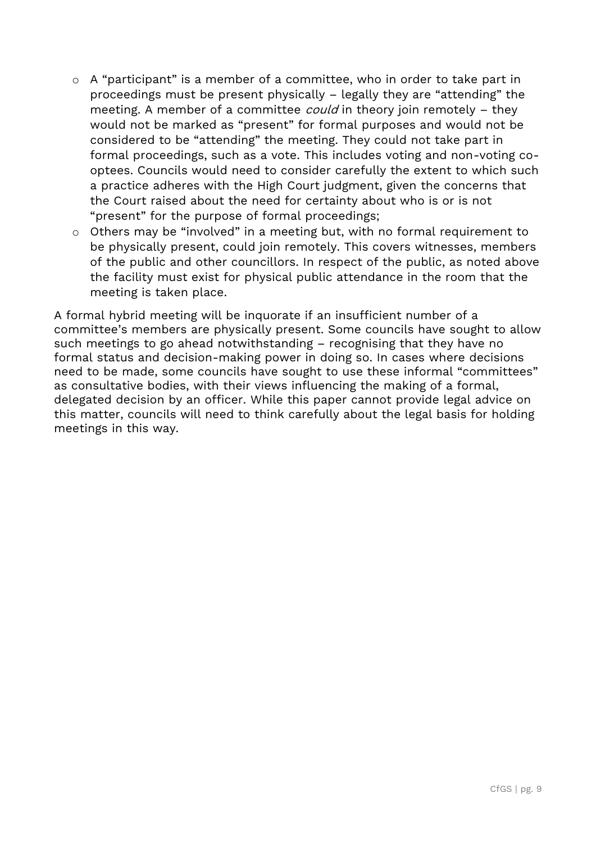- o A "participant" is a member of a committee, who in order to take part in proceedings must be present physically – legally they are "attending" the meeting. A member of a committee *could* in theory join remotely – they would not be marked as "present" for formal purposes and would not be considered to be "attending" the meeting. They could not take part in formal proceedings, such as a vote. This includes voting and non-voting cooptees. Councils would need to consider carefully the extent to which such a practice adheres with the High Court judgment, given the concerns that the Court raised about the need for certainty about who is or is not "present" for the purpose of formal proceedings;
- o Others may be "involved" in a meeting but, with no formal requirement to be physically present, could join remotely. This covers witnesses, members of the public and other councillors. In respect of the public, as noted above the facility must exist for physical public attendance in the room that the meeting is taken place.

A formal hybrid meeting will be inquorate if an insufficient number of a committee's members are physically present. Some councils have sought to allow such meetings to go ahead notwithstanding – recognising that they have no formal status and decision-making power in doing so. In cases where decisions need to be made, some councils have sought to use these informal "committees" as consultative bodies, with their views influencing the making of a formal, delegated decision by an officer. While this paper cannot provide legal advice on this matter, councils will need to think carefully about the legal basis for holding meetings in this way.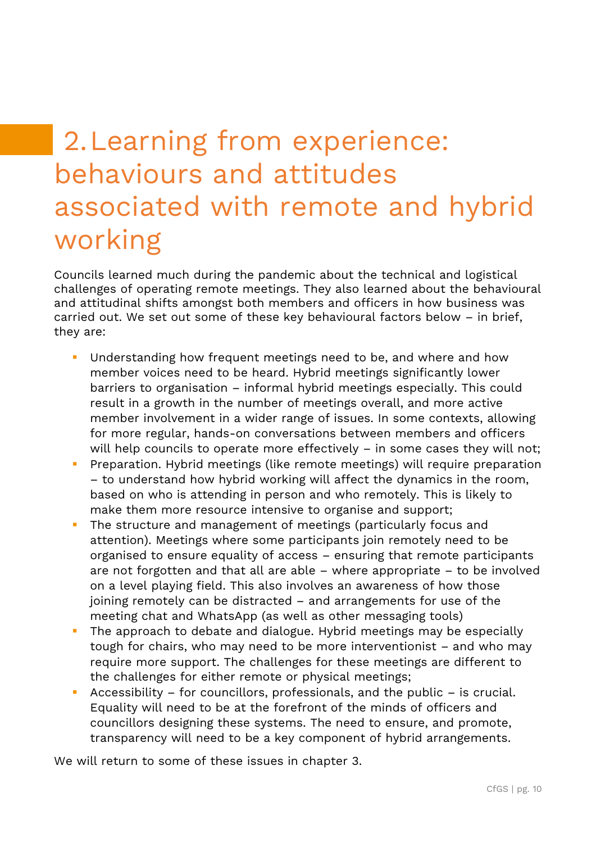# 2.Learning from experience: behaviours and attitudes associated with remote and hybrid working

Councils learned much during the pandemic about the technical and logistical challenges of operating remote meetings. They also learned about the behavioural and attitudinal shifts amongst both members and officers in how business was carried out. We set out some of these key behavioural factors below – in brief, they are:

- Understanding how frequent meetings need to be, and where and how member voices need to be heard. Hybrid meetings significantly lower barriers to organisation – informal hybrid meetings especially. This could result in a growth in the number of meetings overall, and more active member involvement in a wider range of issues. In some contexts, allowing for more regular, hands-on conversations between members and officers will help councils to operate more effectively - in some cases they will not;
- Preparation. Hybrid meetings (like remote meetings) will require preparation – to understand how hybrid working will affect the dynamics in the room, based on who is attending in person and who remotely. This is likely to make them more resource intensive to organise and support;
- The structure and management of meetings (particularly focus and attention). Meetings where some participants join remotely need to be organised to ensure equality of access – ensuring that remote participants are not forgotten and that all are able – where appropriate – to be involved on a level playing field. This also involves an awareness of how those joining remotely can be distracted – and arrangements for use of the meeting chat and WhatsApp (as well as other messaging tools)
- **•** The approach to debate and dialogue. Hybrid meetings may be especially tough for chairs, who may need to be more interventionist – and who may require more support. The challenges for these meetings are different to the challenges for either remote or physical meetings;
- Accessibility for councillors, professionals, and the public is crucial. Equality will need to be at the forefront of the minds of officers and councillors designing these systems. The need to ensure, and promote, transparency will need to be a key component of hybrid arrangements.

We will return to some of these issues in chapter 3.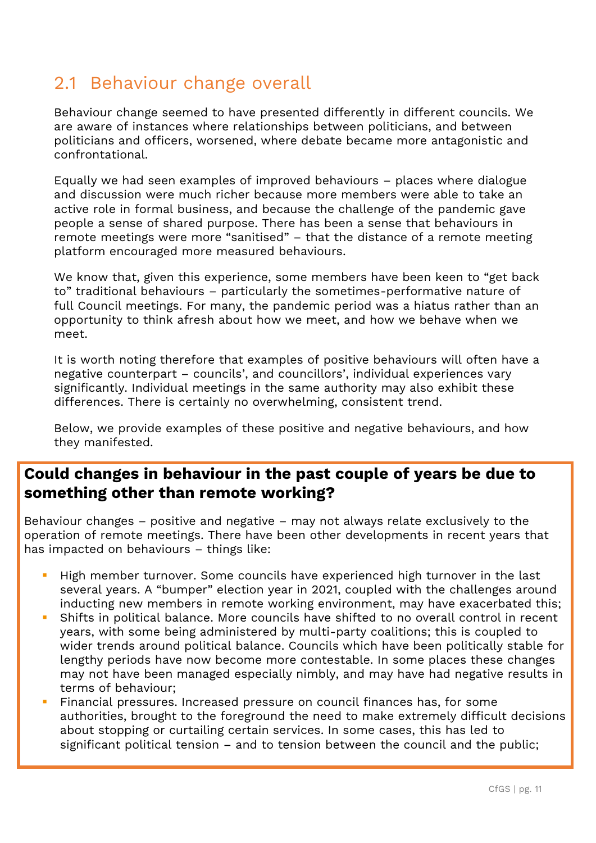#### 2.1 Behaviour change overall

Behaviour change seemed to have presented differently in different councils. We are aware of instances where relationships between politicians, and between politicians and officers, worsened, where debate became more antagonistic and confrontational.

Equally we had seen examples of improved behaviours – places where dialogue and discussion were much richer because more members were able to take an active role in formal business, and because the challenge of the pandemic gave people a sense of shared purpose. There has been a sense that behaviours in remote meetings were more "sanitised" – that the distance of a remote meeting platform encouraged more measured behaviours.

We know that, given this experience, some members have been keen to "get back to" traditional behaviours – particularly the sometimes-performative nature of full Council meetings. For many, the pandemic period was a hiatus rather than an opportunity to think afresh about how we meet, and how we behave when we meet.

It is worth noting therefore that examples of positive behaviours will often have a negative counterpart – councils', and councillors', individual experiences vary significantly. Individual meetings in the same authority may also exhibit these differences. There is certainly no overwhelming, consistent trend.

Below, we provide examples of these positive and negative behaviours, and how they manifested.

#### **Could changes in behaviour in the past couple of years be due to something other than remote working?**

Behaviour changes – positive and negative – may not always relate exclusively to the operation of remote meetings. There have been other developments in recent years that has impacted on behaviours – things like:

- High member turnover. Some councils have experienced high turnover in the last several years. A "bumper" election year in 2021, coupled with the challenges around inducting new members in remote working environment, may have exacerbated this;
- Shifts in political balance. More councils have shifted to no overall control in recent years, with some being administered by multi-party coalitions; this is coupled to wider trends around political balance. Councils which have been politically stable for lengthy periods have now become more contestable. In some places these changes may not have been managed especially nimbly, and may have had negative results in terms of behaviour;
- **·** Financial pressures. Increased pressure on council finances has, for some authorities, brought to the foreground the need to make extremely difficult decisions about stopping or curtailing certain services. In some cases, this has led to significant political tension – and to tension between the council and the public;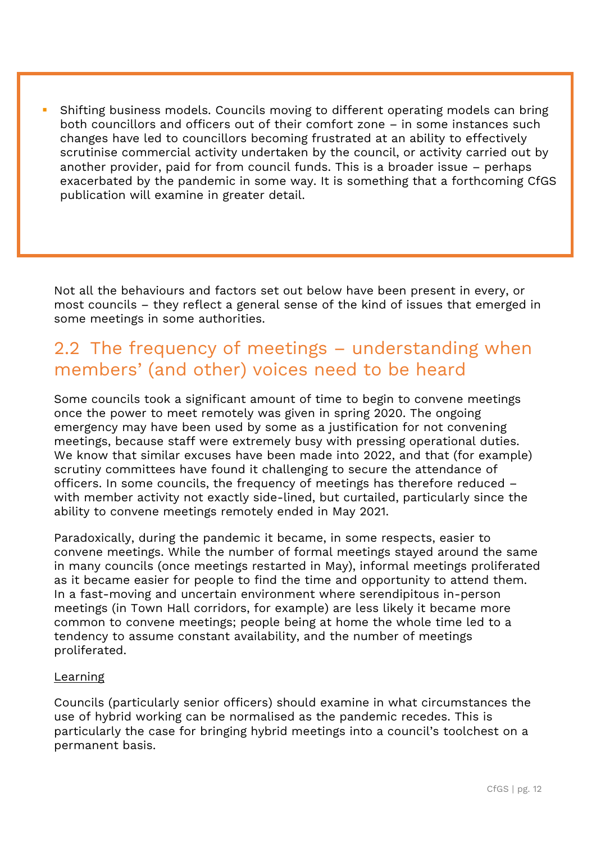Shifting business models. Councils moving to different operating models can bring both councillors and officers out of their comfort zone – in some instances such changes have led to councillors becoming frustrated at an ability to effectively scrutinise commercial activity undertaken by the council, or activity carried out by another provider, paid for from council funds. This is a broader issue – perhaps exacerbated by the pandemic in some way. It is something that a forthcoming CfGS publication will examine in greater detail.

Not all the behaviours and factors set out below have been present in every, or most councils – they reflect a general sense of the kind of issues that emerged in some meetings in some authorities.

### 2.2 The frequency of meetings – understanding when members' (and other) voices need to be heard

Some councils took a significant amount of time to begin to convene meetings once the power to meet remotely was given in spring 2020. The ongoing emergency may have been used by some as a justification for not convening meetings, because staff were extremely busy with pressing operational duties. We know that similar excuses have been made into 2022, and that (for example) scrutiny committees have found it challenging to secure the attendance of officers. In some councils, the frequency of meetings has therefore reduced – with member activity not exactly side-lined, but curtailed, particularly since the ability to convene meetings remotely ended in May 2021.

Paradoxically, during the pandemic it became, in some respects, easier to convene meetings. While the number of formal meetings stayed around the same in many councils (once meetings restarted in May), informal meetings proliferated as it became easier for people to find the time and opportunity to attend them. In a fast-moving and uncertain environment where serendipitous in-person meetings (in Town Hall corridors, for example) are less likely it became more common to convene meetings; people being at home the whole time led to a tendency to assume constant availability, and the number of meetings proliferated.

#### Learning

Councils (particularly senior officers) should examine in what circumstances the use of hybrid working can be normalised as the pandemic recedes. This is particularly the case for bringing hybrid meetings into a council's toolchest on a permanent basis.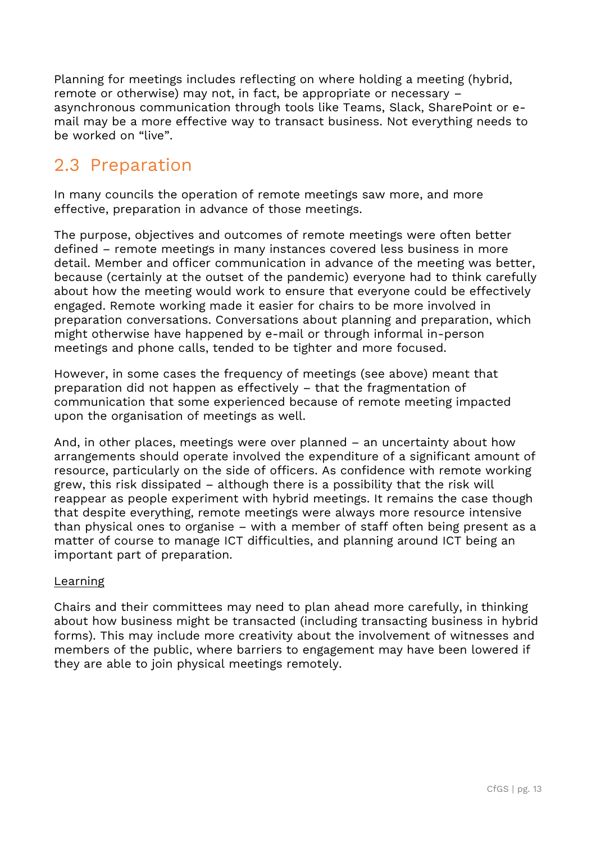Planning for meetings includes reflecting on where holding a meeting (hybrid, remote or otherwise) may not, in fact, be appropriate or necessary – asynchronous communication through tools like Teams, Slack, SharePoint or email may be a more effective way to transact business. Not everything needs to be worked on "live".

#### 2.3 Preparation

In many councils the operation of remote meetings saw more, and more effective, preparation in advance of those meetings.

The purpose, objectives and outcomes of remote meetings were often better defined – remote meetings in many instances covered less business in more detail. Member and officer communication in advance of the meeting was better, because (certainly at the outset of the pandemic) everyone had to think carefully about how the meeting would work to ensure that everyone could be effectively engaged. Remote working made it easier for chairs to be more involved in preparation conversations. Conversations about planning and preparation, which might otherwise have happened by e-mail or through informal in-person meetings and phone calls, tended to be tighter and more focused.

However, in some cases the frequency of meetings (see above) meant that preparation did not happen as effectively – that the fragmentation of communication that some experienced because of remote meeting impacted upon the organisation of meetings as well.

And, in other places, meetings were over planned – an uncertainty about how arrangements should operate involved the expenditure of a significant amount of resource, particularly on the side of officers. As confidence with remote working grew, this risk dissipated – although there is a possibility that the risk will reappear as people experiment with hybrid meetings. It remains the case though that despite everything, remote meetings were always more resource intensive than physical ones to organise – with a member of staff often being present as a matter of course to manage ICT difficulties, and planning around ICT being an important part of preparation.

#### Learning

Chairs and their committees may need to plan ahead more carefully, in thinking about how business might be transacted (including transacting business in hybrid forms). This may include more creativity about the involvement of witnesses and members of the public, where barriers to engagement may have been lowered if they are able to join physical meetings remotely.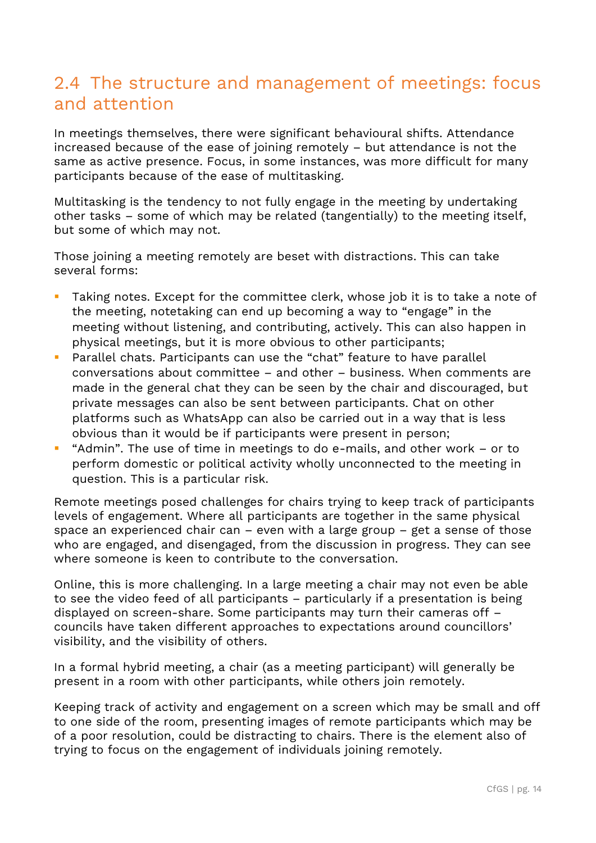#### 2.4 The structure and management of meetings: focus and attention

In meetings themselves, there were significant behavioural shifts. Attendance increased because of the ease of joining remotely – but attendance is not the same as active presence. Focus, in some instances, was more difficult for many participants because of the ease of multitasking.

Multitasking is the tendency to not fully engage in the meeting by undertaking other tasks – some of which may be related (tangentially) to the meeting itself, but some of which may not.

Those joining a meeting remotely are beset with distractions. This can take several forms:

- Taking notes. Except for the committee clerk, whose job it is to take a note of the meeting, notetaking can end up becoming a way to "engage" in the meeting without listening, and contributing, actively. This can also happen in physical meetings, but it is more obvious to other participants;
- Parallel chats. Participants can use the "chat" feature to have parallel conversations about committee – and other – business. When comments are made in the general chat they can be seen by the chair and discouraged, but private messages can also be sent between participants. Chat on other platforms such as WhatsApp can also be carried out in a way that is less obvious than it would be if participants were present in person;
- "Admin". The use of time in meetings to do e-mails, and other work or to perform domestic or political activity wholly unconnected to the meeting in question. This is a particular risk.

Remote meetings posed challenges for chairs trying to keep track of participants levels of engagement. Where all participants are together in the same physical space an experienced chair can – even with a large group – get a sense of those who are engaged, and disengaged, from the discussion in progress. They can see where someone is keen to contribute to the conversation.

Online, this is more challenging. In a large meeting a chair may not even be able to see the video feed of all participants – particularly if a presentation is being displayed on screen-share. Some participants may turn their cameras off – councils have taken different approaches to expectations around councillors' visibility, and the visibility of others.

In a formal hybrid meeting, a chair (as a meeting participant) will generally be present in a room with other participants, while others join remotely.

Keeping track of activity and engagement on a screen which may be small and off to one side of the room, presenting images of remote participants which may be of a poor resolution, could be distracting to chairs. There is the element also of trying to focus on the engagement of individuals joining remotely.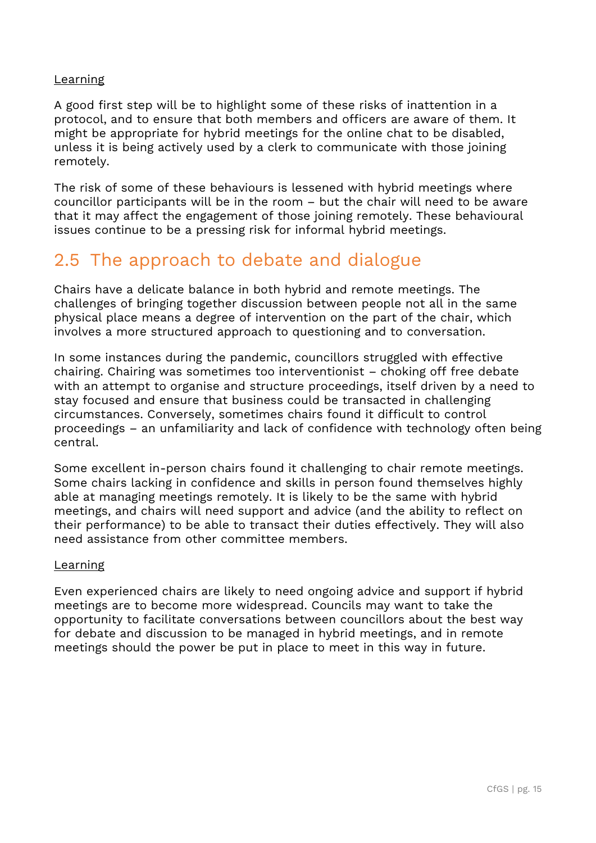#### Learning

A good first step will be to highlight some of these risks of inattention in a protocol, and to ensure that both members and officers are aware of them. It might be appropriate for hybrid meetings for the online chat to be disabled, unless it is being actively used by a clerk to communicate with those joining remotely.

The risk of some of these behaviours is lessened with hybrid meetings where councillor participants will be in the room – but the chair will need to be aware that it may affect the engagement of those joining remotely. These behavioural issues continue to be a pressing risk for informal hybrid meetings.

#### 2.5 The approach to debate and dialogue

Chairs have a delicate balance in both hybrid and remote meetings. The challenges of bringing together discussion between people not all in the same physical place means a degree of intervention on the part of the chair, which involves a more structured approach to questioning and to conversation.

In some instances during the pandemic, councillors struggled with effective chairing. Chairing was sometimes too interventionist – choking off free debate with an attempt to organise and structure proceedings, itself driven by a need to stay focused and ensure that business could be transacted in challenging circumstances. Conversely, sometimes chairs found it difficult to control proceedings – an unfamiliarity and lack of confidence with technology often being central.

Some excellent in-person chairs found it challenging to chair remote meetings. Some chairs lacking in confidence and skills in person found themselves highly able at managing meetings remotely. It is likely to be the same with hybrid meetings, and chairs will need support and advice (and the ability to reflect on their performance) to be able to transact their duties effectively. They will also need assistance from other committee members.

#### Learning

Even experienced chairs are likely to need ongoing advice and support if hybrid meetings are to become more widespread. Councils may want to take the opportunity to facilitate conversations between councillors about the best way for debate and discussion to be managed in hybrid meetings, and in remote meetings should the power be put in place to meet in this way in future.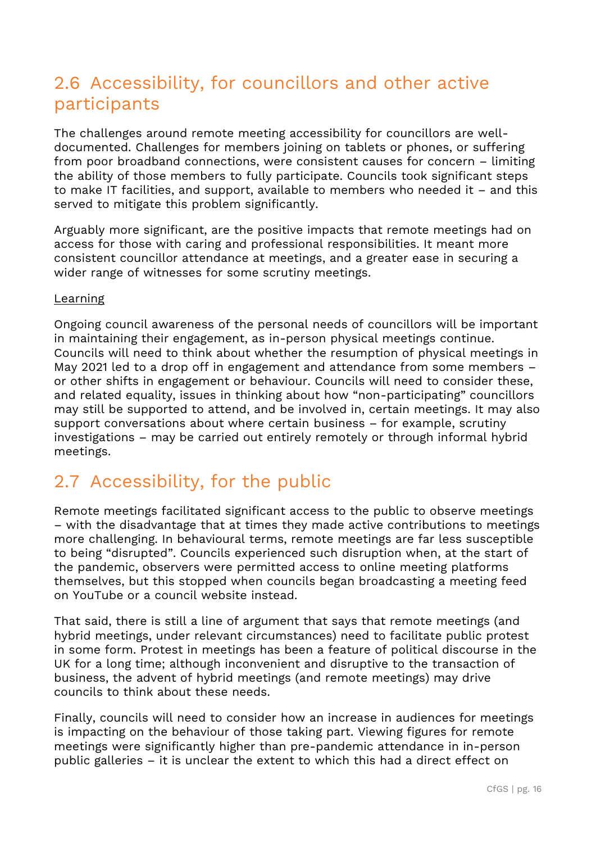### 2.6 Accessibility, for councillors and other active participants

The challenges around remote meeting accessibility for councillors are welldocumented. Challenges for members joining on tablets or phones, or suffering from poor broadband connections, were consistent causes for concern – limiting the ability of those members to fully participate. Councils took significant steps to make IT facilities, and support, available to members who needed it – and this served to mitigate this problem significantly.

Arguably more significant, are the positive impacts that remote meetings had on access for those with caring and professional responsibilities. It meant more consistent councillor attendance at meetings, and a greater ease in securing a wider range of witnesses for some scrutiny meetings.

#### Learning

Ongoing council awareness of the personal needs of councillors will be important in maintaining their engagement, as in-person physical meetings continue. Councils will need to think about whether the resumption of physical meetings in May 2021 led to a drop off in engagement and attendance from some members – or other shifts in engagement or behaviour. Councils will need to consider these, and related equality, issues in thinking about how "non-participating" councillors may still be supported to attend, and be involved in, certain meetings. It may also support conversations about where certain business – for example, scrutiny investigations – may be carried out entirely remotely or through informal hybrid meetings.

### 2.7 Accessibility, for the public

Remote meetings facilitated significant access to the public to observe meetings – with the disadvantage that at times they made active contributions to meetings more challenging. In behavioural terms, remote meetings are far less susceptible to being "disrupted". Councils experienced such disruption when, at the start of the pandemic, observers were permitted access to online meeting platforms themselves, but this stopped when councils began broadcasting a meeting feed on YouTube or a council website instead.

That said, there is still a line of argument that says that remote meetings (and hybrid meetings, under relevant circumstances) need to facilitate public protest in some form. Protest in meetings has been a feature of political discourse in the UK for a long time; although inconvenient and disruptive to the transaction of business, the advent of hybrid meetings (and remote meetings) may drive councils to think about these needs.

Finally, councils will need to consider how an increase in audiences for meetings is impacting on the behaviour of those taking part. Viewing figures for remote meetings were significantly higher than pre-pandemic attendance in in-person public galleries – it is unclear the extent to which this had a direct effect on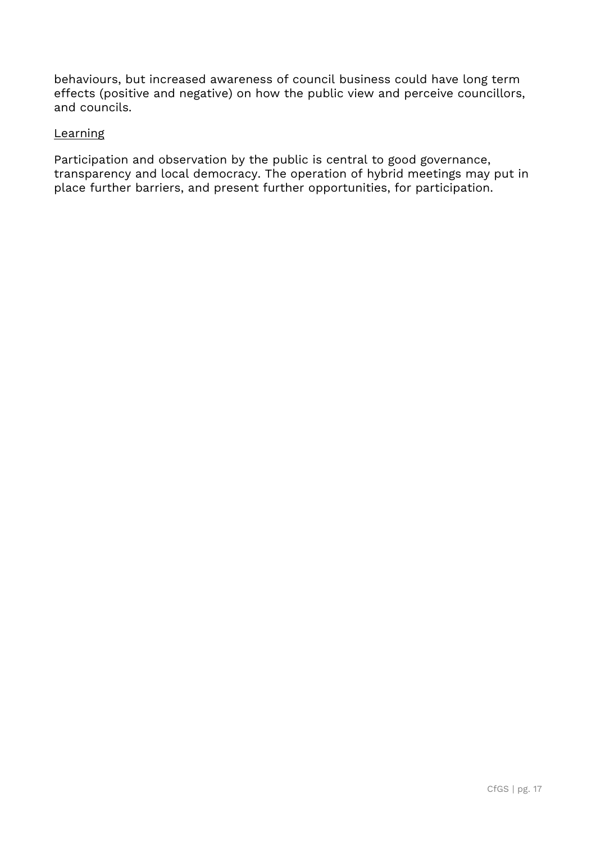behaviours, but increased awareness of council business could have long term effects (positive and negative) on how the public view and perceive councillors, and councils.

#### **Learning**

Participation and observation by the public is central to good governance, transparency and local democracy. The operation of hybrid meetings may put in place further barriers, and present further opportunities, for participation.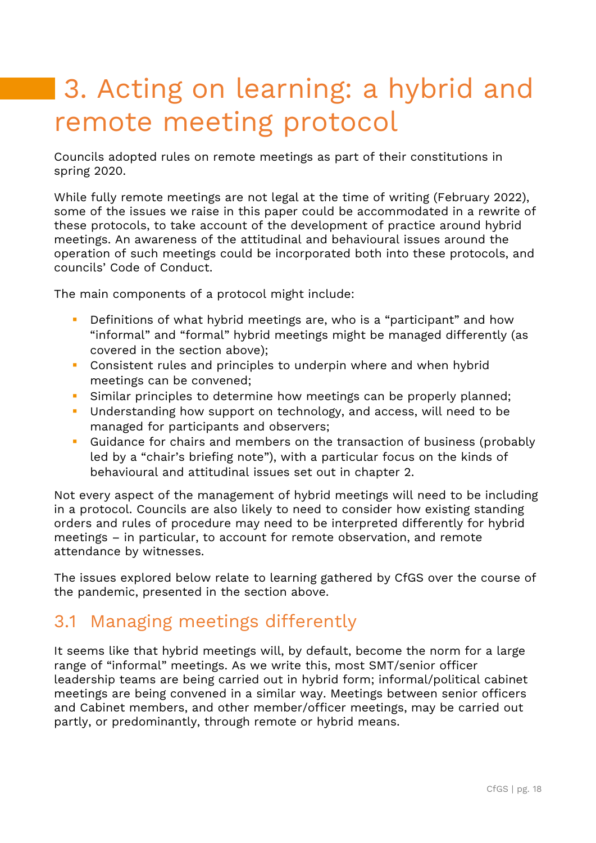# 3. Acting on learning: a hybrid and remote meeting protocol

Councils adopted rules on remote meetings as part of their constitutions in spring 2020.

While fully remote meetings are not legal at the time of writing (February 2022), some of the issues we raise in this paper could be accommodated in a rewrite of these protocols, to take account of the development of practice around hybrid meetings. An awareness of the attitudinal and behavioural issues around the operation of such meetings could be incorporated both into these protocols, and councils' Code of Conduct.

The main components of a protocol might include:

- Definitions of what hybrid meetings are, who is a "participant" and how "informal" and "formal" hybrid meetings might be managed differently (as covered in the section above);
- Consistent rules and principles to underpin where and when hybrid meetings can be convened;
- **EXT** Similar principles to determine how meetings can be properly planned;
- Understanding how support on technology, and access, will need to be managed for participants and observers;
- Guidance for chairs and members on the transaction of business (probably led by a "chair's briefing note"), with a particular focus on the kinds of behavioural and attitudinal issues set out in chapter 2.

Not every aspect of the management of hybrid meetings will need to be including in a protocol. Councils are also likely to need to consider how existing standing orders and rules of procedure may need to be interpreted differently for hybrid meetings – in particular, to account for remote observation, and remote attendance by witnesses.

The issues explored below relate to learning gathered by CfGS over the course of the pandemic, presented in the section above.

#### 3.1 Managing meetings differently

It seems like that hybrid meetings will, by default, become the norm for a large range of "informal" meetings. As we write this, most SMT/senior officer leadership teams are being carried out in hybrid form; informal/political cabinet meetings are being convened in a similar way. Meetings between senior officers and Cabinet members, and other member/officer meetings, may be carried out partly, or predominantly, through remote or hybrid means.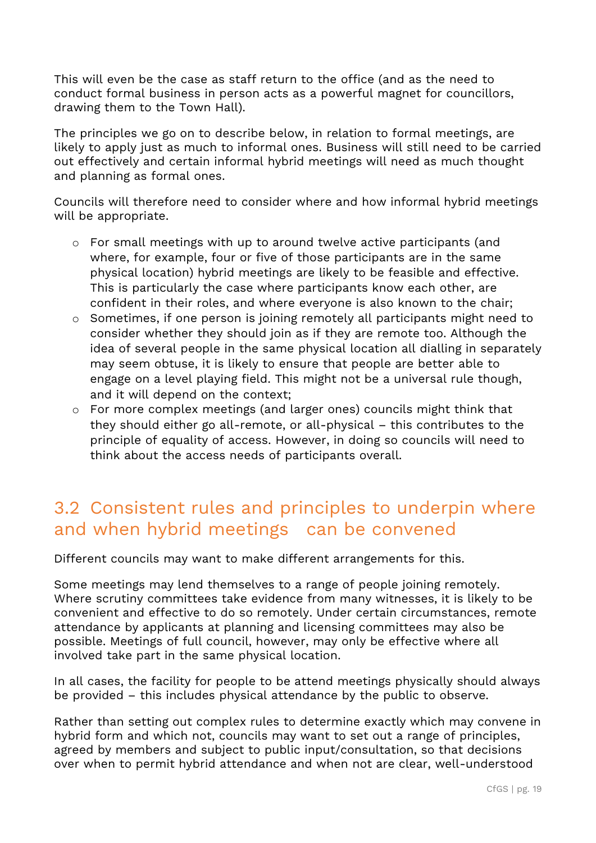This will even be the case as staff return to the office (and as the need to conduct formal business in person acts as a powerful magnet for councillors, drawing them to the Town Hall).

The principles we go on to describe below, in relation to formal meetings, are likely to apply just as much to informal ones. Business will still need to be carried out effectively and certain informal hybrid meetings will need as much thought and planning as formal ones.

Councils will therefore need to consider where and how informal hybrid meetings will be appropriate.

- o For small meetings with up to around twelve active participants (and where, for example, four or five of those participants are in the same physical location) hybrid meetings are likely to be feasible and effective. This is particularly the case where participants know each other, are confident in their roles, and where everyone is also known to the chair;
- o Sometimes, if one person is joining remotely all participants might need to consider whether they should join as if they are remote too. Although the idea of several people in the same physical location all dialling in separately may seem obtuse, it is likely to ensure that people are better able to engage on a level playing field. This might not be a universal rule though, and it will depend on the context;
- o For more complex meetings (and larger ones) councils might think that they should either go all-remote, or all-physical – this contributes to the principle of equality of access. However, in doing so councils will need to think about the access needs of participants overall.

### 3.2 Consistent rules and principles to underpin where and when hybrid meetings can be convened

Different councils may want to make different arrangements for this.

Some meetings may lend themselves to a range of people joining remotely. Where scrutiny committees take evidence from many witnesses, it is likely to be convenient and effective to do so remotely. Under certain circumstances, remote attendance by applicants at planning and licensing committees may also be possible. Meetings of full council, however, may only be effective where all involved take part in the same physical location.

In all cases, the facility for people to be attend meetings physically should always be provided – this includes physical attendance by the public to observe.

Rather than setting out complex rules to determine exactly which may convene in hybrid form and which not, councils may want to set out a range of principles, agreed by members and subject to public input/consultation, so that decisions over when to permit hybrid attendance and when not are clear, well-understood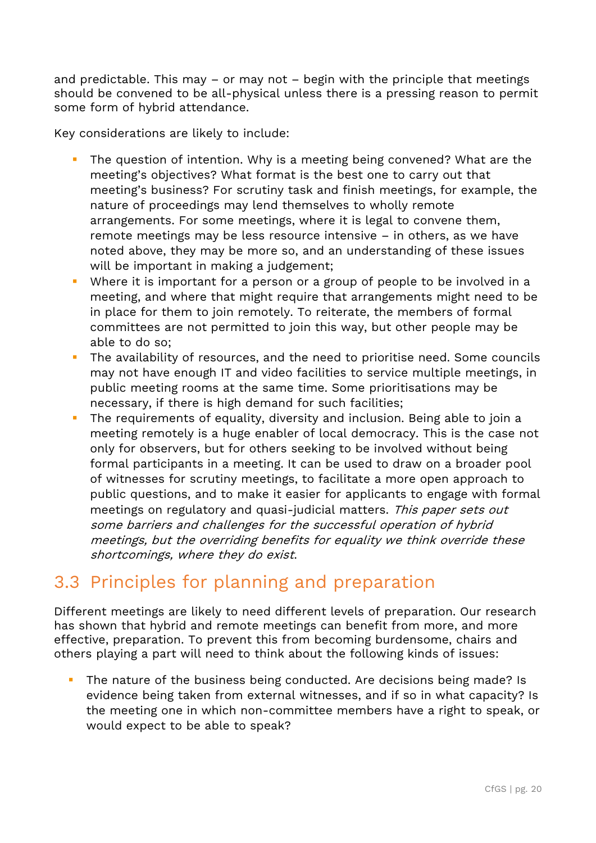and predictable. This may  $-$  or may not  $-$  begin with the principle that meetings should be convened to be all-physical unless there is a pressing reason to permit some form of hybrid attendance.

Key considerations are likely to include:

- **•** The question of intention. Why is a meeting being convened? What are the meeting's objectives? What format is the best one to carry out that meeting's business? For scrutiny task and finish meetings, for example, the nature of proceedings may lend themselves to wholly remote arrangements. For some meetings, where it is legal to convene them, remote meetings may be less resource intensive – in others, as we have noted above, they may be more so, and an understanding of these issues will be important in making a judgement;
- Where it is important for a person or a group of people to be involved in a meeting, and where that might require that arrangements might need to be in place for them to join remotely. To reiterate, the members of formal committees are not permitted to join this way, but other people may be able to do so;
- **·** The availability of resources, and the need to prioritise need. Some councils may not have enough IT and video facilities to service multiple meetings, in public meeting rooms at the same time. Some prioritisations may be necessary, if there is high demand for such facilities;
- The requirements of equality, diversity and inclusion. Being able to join a meeting remotely is a huge enabler of local democracy. This is the case not only for observers, but for others seeking to be involved without being formal participants in a meeting. It can be used to draw on a broader pool of witnesses for scrutiny meetings, to facilitate a more open approach to public questions, and to make it easier for applicants to engage with formal meetings on regulatory and quasi-judicial matters. This paper sets out some barriers and challenges for the successful operation of hybrid meetings, but the overriding benefits for equality we think override these shortcomings, where they do exist.

### 3.3 Principles for planning and preparation

Different meetings are likely to need different levels of preparation. Our research has shown that hybrid and remote meetings can benefit from more, and more effective, preparation. To prevent this from becoming burdensome, chairs and others playing a part will need to think about the following kinds of issues:

The nature of the business being conducted. Are decisions being made? Is evidence being taken from external witnesses, and if so in what capacity? Is the meeting one in which non-committee members have a right to speak, or would expect to be able to speak?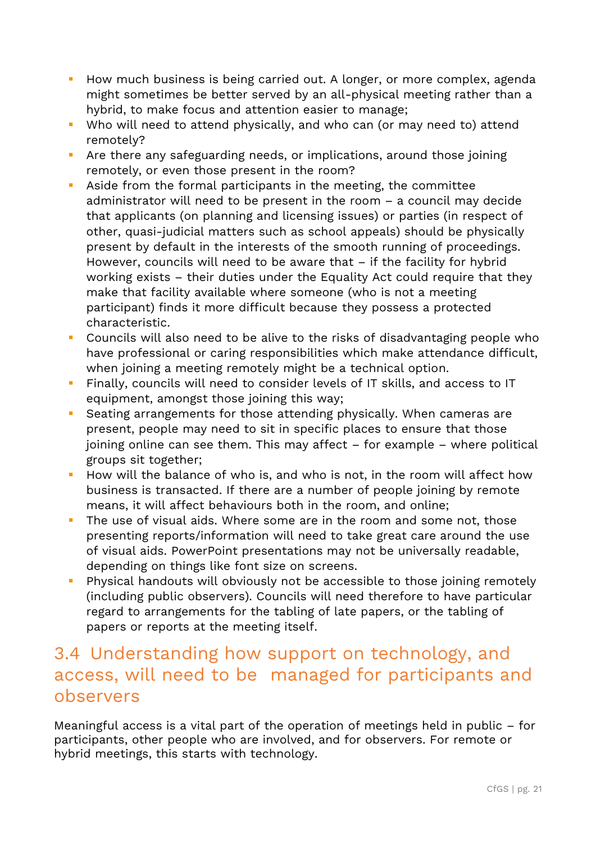- How much business is being carried out. A longer, or more complex, agenda might sometimes be better served by an all-physical meeting rather than a hybrid, to make focus and attention easier to manage;
- Who will need to attend physically, and who can (or may need to) attend remotely?
- **E** Are there any safeguarding needs, or implications, around those joining remotely, or even those present in the room?
- Aside from the formal participants in the meeting, the committee administrator will need to be present in the room – a council may decide that applicants (on planning and licensing issues) or parties (in respect of other, quasi-judicial matters such as school appeals) should be physically present by default in the interests of the smooth running of proceedings. However, councils will need to be aware that – if the facility for hybrid working exists – their duties under the Equality Act could require that they make that facility available where someone (who is not a meeting participant) finds it more difficult because they possess a protected characteristic.
- Councils will also need to be alive to the risks of disadvantaging people who have professional or caring responsibilities which make attendance difficult, when joining a meeting remotely might be a technical option.
- Finally, councils will need to consider levels of IT skills, and access to IT equipment, amongst those joining this way;
- Seating arrangements for those attending physically. When cameras are present, people may need to sit in specific places to ensure that those joining online can see them. This may affect – for example – where political groups sit together;
- How will the balance of who is, and who is not, in the room will affect how business is transacted. If there are a number of people joining by remote means, it will affect behaviours both in the room, and online;
- **•** The use of visual aids. Where some are in the room and some not, those presenting reports/information will need to take great care around the use of visual aids. PowerPoint presentations may not be universally readable, depending on things like font size on screens.
- **•** Physical handouts will obviously not be accessible to those joining remotely (including public observers). Councils will need therefore to have particular regard to arrangements for the tabling of late papers, or the tabling of papers or reports at the meeting itself.

#### 3.4 Understanding how support on technology, and access, will need to be managed for participants and observers

Meaningful access is a vital part of the operation of meetings held in public – for participants, other people who are involved, and for observers. For remote or hybrid meetings, this starts with technology.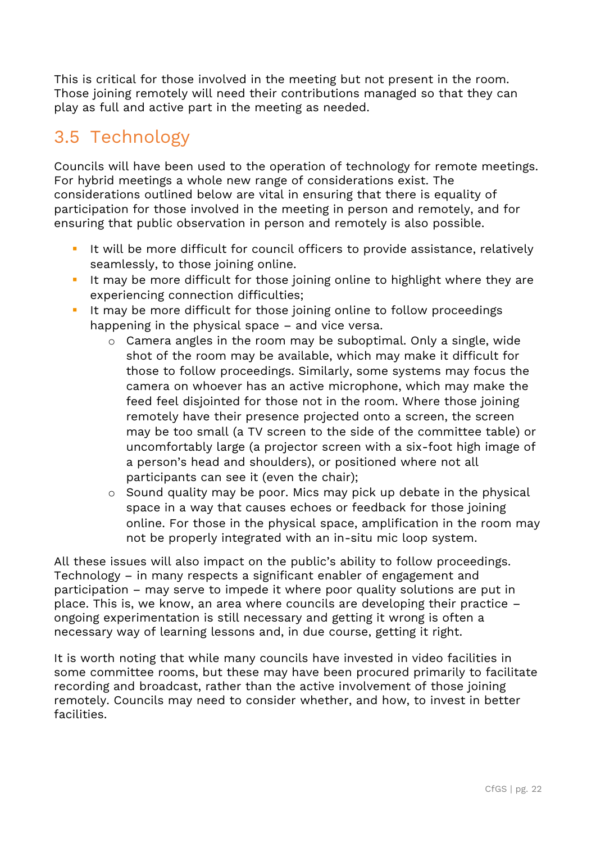This is critical for those involved in the meeting but not present in the room. Those joining remotely will need their contributions managed so that they can play as full and active part in the meeting as needed.

### 3.5 Technology

Councils will have been used to the operation of technology for remote meetings. For hybrid meetings a whole new range of considerations exist. The considerations outlined below are vital in ensuring that there is equality of participation for those involved in the meeting in person and remotely, and for ensuring that public observation in person and remotely is also possible.

- It will be more difficult for council officers to provide assistance, relatively seamlessly, to those joining online.
- It may be more difficult for those joining online to highlight where they are experiencing connection difficulties;
- **EXT** It may be more difficult for those joining online to follow proceedings happening in the physical space – and vice versa.
	- o Camera angles in the room may be suboptimal. Only a single, wide shot of the room may be available, which may make it difficult for those to follow proceedings. Similarly, some systems may focus the camera on whoever has an active microphone, which may make the feed feel disjointed for those not in the room. Where those joining remotely have their presence projected onto a screen, the screen may be too small (a TV screen to the side of the committee table) or uncomfortably large (a projector screen with a six-foot high image of a person's head and shoulders), or positioned where not all participants can see it (even the chair);
	- o Sound quality may be poor. Mics may pick up debate in the physical space in a way that causes echoes or feedback for those joining online. For those in the physical space, amplification in the room may not be properly integrated with an in-situ mic loop system.

All these issues will also impact on the public's ability to follow proceedings. Technology – in many respects a significant enabler of engagement and participation – may serve to impede it where poor quality solutions are put in place. This is, we know, an area where councils are developing their practice – ongoing experimentation is still necessary and getting it wrong is often a necessary way of learning lessons and, in due course, getting it right.

It is worth noting that while many councils have invested in video facilities in some committee rooms, but these may have been procured primarily to facilitate recording and broadcast, rather than the active involvement of those joining remotely. Councils may need to consider whether, and how, to invest in better facilities.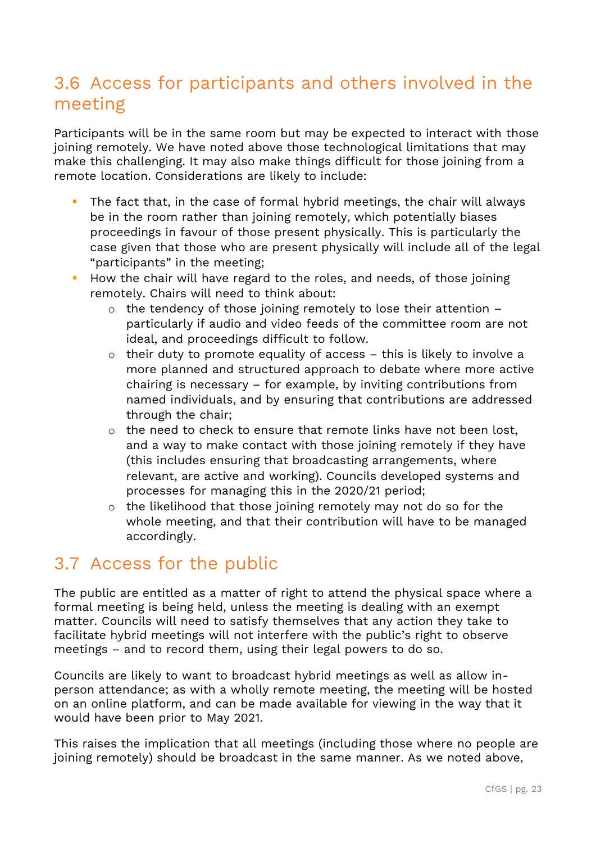### 3.6 Access for participants and others involved in the meeting

Participants will be in the same room but may be expected to interact with those joining remotely. We have noted above those technological limitations that may make this challenging. It may also make things difficult for those joining from a remote location. Considerations are likely to include:

- The fact that, in the case of formal hybrid meetings, the chair will always be in the room rather than joining remotely, which potentially biases proceedings in favour of those present physically. This is particularly the case given that those who are present physically will include all of the legal "participants" in the meeting;
- **EXT** How the chair will have regard to the roles, and needs, of those joining remotely. Chairs will need to think about:
	- $\circ$  the tendency of those joining remotely to lose their attention particularly if audio and video feeds of the committee room are not ideal, and proceedings difficult to follow.
	- o their duty to promote equality of access this is likely to involve a more planned and structured approach to debate where more active chairing is necessary – for example, by inviting contributions from named individuals, and by ensuring that contributions are addressed through the chair;
	- o the need to check to ensure that remote links have not been lost, and a way to make contact with those joining remotely if they have (this includes ensuring that broadcasting arrangements, where relevant, are active and working). Councils developed systems and processes for managing this in the 2020/21 period;
	- o the likelihood that those joining remotely may not do so for the whole meeting, and that their contribution will have to be managed accordingly.

#### 3.7 Access for the public

The public are entitled as a matter of right to attend the physical space where a formal meeting is being held, unless the meeting is dealing with an exempt matter. Councils will need to satisfy themselves that any action they take to facilitate hybrid meetings will not interfere with the public's right to observe meetings – and to record them, using their legal powers to do so.

Councils are likely to want to broadcast hybrid meetings as well as allow inperson attendance; as with a wholly remote meeting, the meeting will be hosted on an online platform, and can be made available for viewing in the way that it would have been prior to May 2021.

This raises the implication that all meetings (including those where no people are joining remotely) should be broadcast in the same manner. As we noted above,